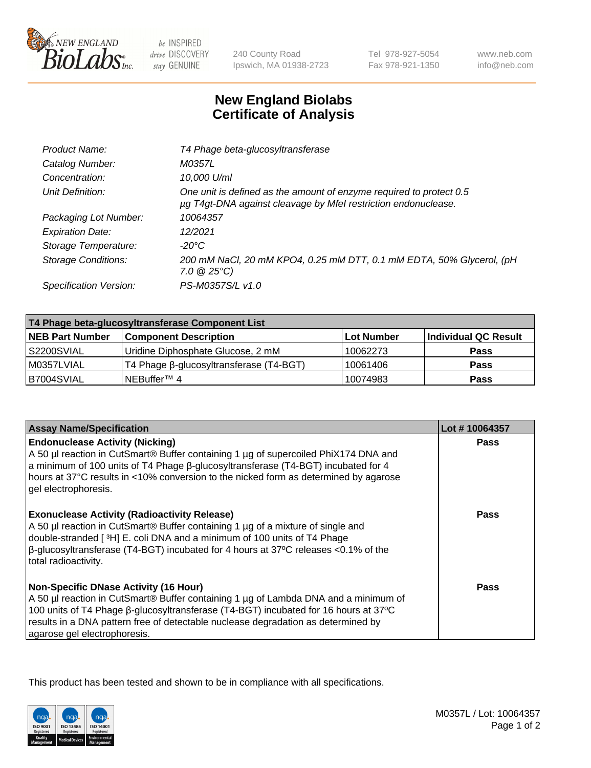

 $be$  INSPIRED drive DISCOVERY stay GENUINE

240 County Road Ipswich, MA 01938-2723 Tel 978-927-5054 Fax 978-921-1350 www.neb.com info@neb.com

## **New England Biolabs Certificate of Analysis**

| Product Name:              | T4 Phage beta-glucosyltransferase                                                                                                     |
|----------------------------|---------------------------------------------------------------------------------------------------------------------------------------|
| Catalog Number:            | M0357L                                                                                                                                |
| Concentration:             | 10,000 U/ml                                                                                                                           |
| Unit Definition:           | One unit is defined as the amount of enzyme required to protect 0.5<br>µg T4gt-DNA against cleavage by Mfel restriction endonuclease. |
| Packaging Lot Number:      | 10064357                                                                                                                              |
| <b>Expiration Date:</b>    | 12/2021                                                                                                                               |
| Storage Temperature:       | $-20^{\circ}$ C                                                                                                                       |
| <b>Storage Conditions:</b> | 200 mM NaCl, 20 mM KPO4, 0.25 mM DTT, 0.1 mM EDTA, 50% Glycerol, (pH<br>$7.0 \ @ 25^{\circ}C$                                         |
| Specification Version:     | PS-M0357S/L v1.0                                                                                                                      |
|                            |                                                                                                                                       |

| T4 Phage beta-glucosyltransferase Component List |                                         |            |                      |  |
|--------------------------------------------------|-----------------------------------------|------------|----------------------|--|
| <b>NEB Part Number</b>                           | <b>Component Description</b>            | Lot Number | Individual QC Result |  |
| S2200SVIAL                                       | Uridine Diphosphate Glucose, 2 mM       | 10062273   | <b>Pass</b>          |  |
| M0357LVIAL                                       | T4 Phage β-glucosyltransferase (T4-BGT) | 10061406   | <b>Pass</b>          |  |
| B7004SVIAL                                       | NEBuffer <sup>™</sup> 4                 | 10074983   | Pass                 |  |

| <b>Assay Name/Specification</b>                                                                                                                                                                                                                                                                                                                     | Lot #10064357 |
|-----------------------------------------------------------------------------------------------------------------------------------------------------------------------------------------------------------------------------------------------------------------------------------------------------------------------------------------------------|---------------|
| <b>Endonuclease Activity (Nicking)</b><br>A 50 µl reaction in CutSmart® Buffer containing 1 µg of supercoiled PhiX174 DNA and<br>a minimum of 100 units of T4 Phage B-glucosyltransferase (T4-BGT) incubated for 4<br>hours at 37°C results in <10% conversion to the nicked form as determined by agarose<br>gel electrophoresis.                  | <b>Pass</b>   |
| <b>Exonuclease Activity (Radioactivity Release)</b><br>A 50 µl reaction in CutSmart® Buffer containing 1 µg of a mixture of single and<br>double-stranded [ <sup>3</sup> H] E. coli DNA and a minimum of 100 units of T4 Phage<br>$\beta$ -glucosyltransferase (T4-BGT) incubated for 4 hours at 37°C releases <0.1% of the<br>total radioactivity. | Pass          |
| <b>Non-Specific DNase Activity (16 Hour)</b><br>A 50 µl reaction in CutSmart® Buffer containing 1 µg of Lambda DNA and a minimum of<br>100 units of T4 Phage β-glucosyltransferase (T4-BGT) incubated for 16 hours at 37°C<br>results in a DNA pattern free of detectable nuclease degradation as determined by<br>agarose gel electrophoresis.     | <b>Pass</b>   |

This product has been tested and shown to be in compliance with all specifications.